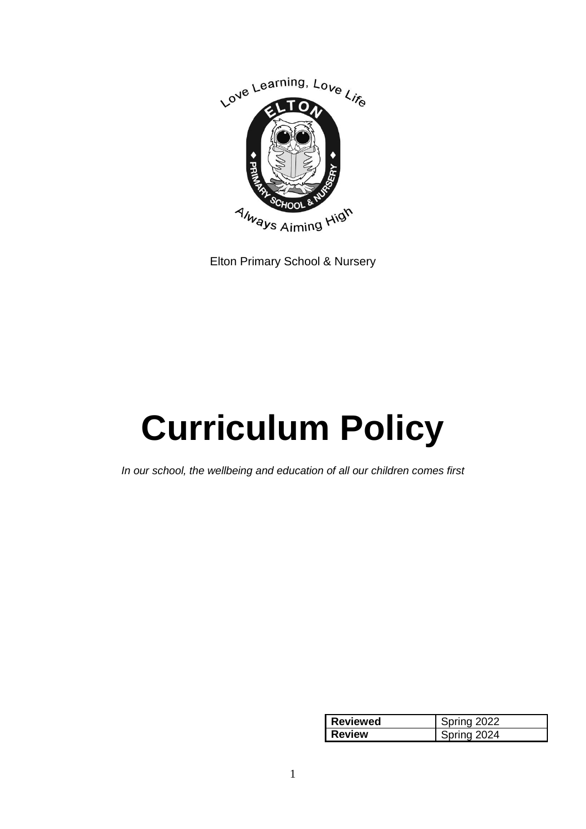

Elton Primary School & Nursery

# **Curriculum Policy**

*In our school, the wellbeing and education of all our children comes first*

| <b>Reviewed</b> | Spring 2022 |
|-----------------|-------------|
| <b>Review</b>   | Spring 2024 |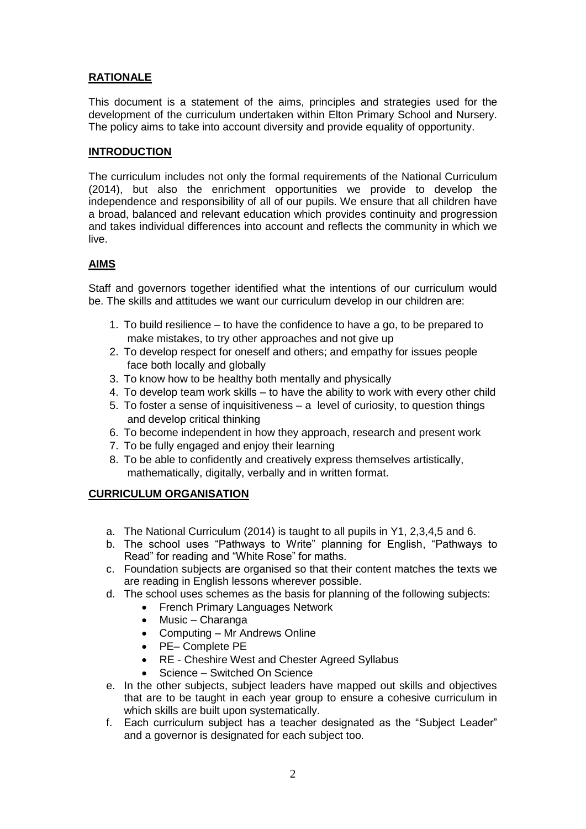## **RATIONALE**

This document is a statement of the aims, principles and strategies used for the development of the curriculum undertaken within Elton Primary School and Nursery. The policy aims to take into account diversity and provide equality of opportunity.

#### **INTRODUCTION**

The curriculum includes not only the formal requirements of the National Curriculum (2014), but also the enrichment opportunities we provide to develop the independence and responsibility of all of our pupils. We ensure that all children have a broad, balanced and relevant education which provides continuity and progression and takes individual differences into account and reflects the community in which we live.

#### **AIMS**

Staff and governors together identified what the intentions of our curriculum would be. The skills and attitudes we want our curriculum develop in our children are:

- 1. To build resilience to have the confidence to have a go, to be prepared to make mistakes, to try other approaches and not give up
- 2. To develop respect for oneself and others; and empathy for issues people face both locally and globally
- 3. To know how to be healthy both mentally and physically
- 4. To develop team work skills to have the ability to work with every other child
- 5. To foster a sense of inquisitiveness a level of curiosity, to question things and develop critical thinking
- 6. To become independent in how they approach, research and present work
- 7. To be fully engaged and enjoy their learning
- 8. To be able to confidently and creatively express themselves artistically, mathematically, digitally, verbally and in written format.

#### **CURRICULUM ORGANISATION**

- a. The National Curriculum (2014) is taught to all pupils in Y1, 2,3,4,5 and 6.
- b. The school uses "Pathways to Write" planning for English, "Pathways to Read" for reading and "White Rose" for maths.
- c. Foundation subjects are organised so that their content matches the texts we are reading in English lessons wherever possible.
- d. The school uses schemes as the basis for planning of the following subjects:
	- French Primary Languages Network
	- Music Charanga
	- Computing Mr Andrews Online
	- PE– Complete PE
	- RE Cheshire West and Chester Agreed Syllabus
	- Science Switched On Science
- e. In the other subjects, subject leaders have mapped out skills and objectives that are to be taught in each year group to ensure a cohesive curriculum in which skills are built upon systematically.
- f. Each curriculum subject has a teacher designated as the "Subject Leader" and a governor is designated for each subject too.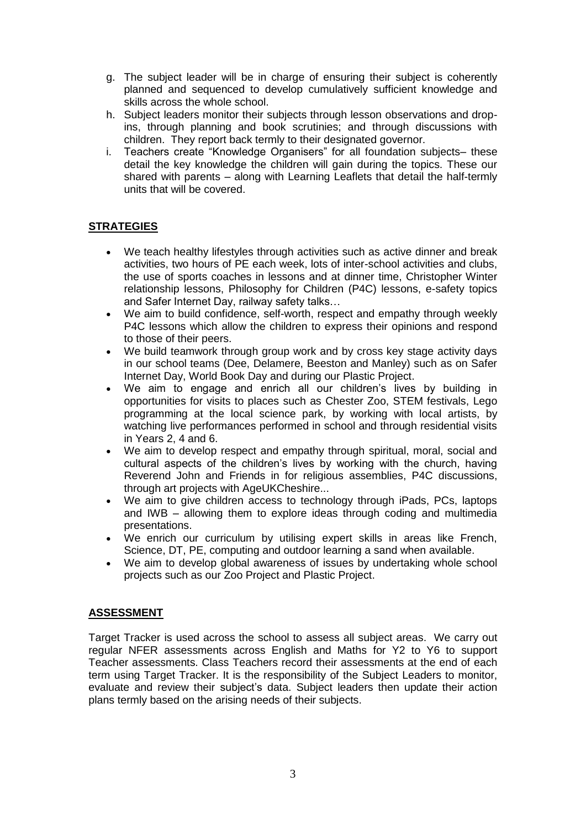- g. The subject leader will be in charge of ensuring their subject is coherently planned and sequenced to develop cumulatively sufficient knowledge and skills across the whole school.
- h. Subject leaders monitor their subjects through lesson observations and dropins, through planning and book scrutinies; and through discussions with children. They report back termly to their designated governor.
- i. Teachers create "Knowledge Organisers" for all foundation subjects– these detail the key knowledge the children will gain during the topics. These our shared with parents – along with Learning Leaflets that detail the half-termly units that will be covered.

## **STRATEGIES**

- We teach healthy lifestyles through activities such as active dinner and break activities, two hours of PE each week, lots of inter-school activities and clubs, the use of sports coaches in lessons and at dinner time, Christopher Winter relationship lessons, Philosophy for Children (P4C) lessons, e-safety topics and Safer Internet Day, railway safety talks…
- We aim to build confidence, self-worth, respect and empathy through weekly P4C lessons which allow the children to express their opinions and respond to those of their peers.
- We build teamwork through group work and by cross key stage activity days in our school teams (Dee, Delamere, Beeston and Manley) such as on Safer Internet Day, World Book Day and during our Plastic Project.
- We aim to engage and enrich all our children's lives by building in opportunities for visits to places such as Chester Zoo, STEM festivals, Lego programming at the local science park, by working with local artists, by watching live performances performed in school and through residential visits in Years 2, 4 and 6.
- We aim to develop respect and empathy through spiritual, moral, social and cultural aspects of the children's lives by working with the church, having Reverend John and Friends in for religious assemblies, P4C discussions, through art projects with AgeUKCheshire...
- We aim to give children access to technology through iPads, PCs, laptops and IWB – allowing them to explore ideas through coding and multimedia presentations.
- We enrich our curriculum by utilising expert skills in areas like French, Science, DT, PE, computing and outdoor learning a sand when available.
- We aim to develop global awareness of issues by undertaking whole school projects such as our Zoo Project and Plastic Project.

### **ASSESSMENT**

Target Tracker is used across the school to assess all subject areas. We carry out regular NFER assessments across English and Maths for Y2 to Y6 to support Teacher assessments. Class Teachers record their assessments at the end of each term using Target Tracker. It is the responsibility of the Subject Leaders to monitor, evaluate and review their subject's data. Subject leaders then update their action plans termly based on the arising needs of their subjects.